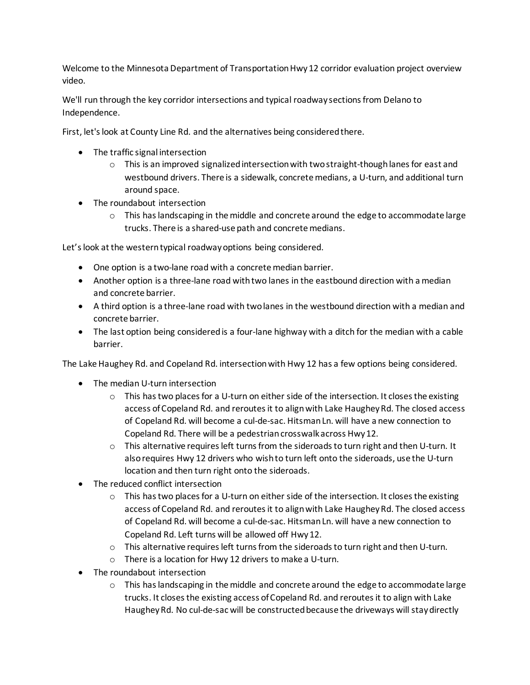Welcome to the Minnesota Department of Transportation Hwy 12 corridor evaluation project overview video.

We'll run through the key corridor intersections and typical roadway sections from Delano to Independence.

First, let's look at County Line Rd. and the alternatives being consideredthere.

- The traffic signal intersection
	- $\circ$  This is an improved signalized intersection with two straight-though lanes for east and westbound drivers. There is a sidewalk, concrete medians, a U-turn, and additional turn around space.
- The roundabout intersection
	- $\circ$  This has landscaping in the middle and concrete around the edge to accommodate large trucks. There is a shared-use path and concrete medians.

Let's look at the western typical roadway options being considered.

- One option is a two-lane road with a concrete median barrier.
- Another option is a three-lane road with two lanes in the eastbound direction with a median and concrete barrier.
- A third option is a three-lane road with two lanes in the westbound direction with a median and concrete barrier.
- The last option being considered is a four-lane highway with a ditch for the median with a cable barrier.

The Lake Haughey Rd. and Copeland Rd. intersection with Hwy 12 has a few options being considered.

- The median U-turn intersection
	- $\circ$  This has two places for a U-turn on either side of the intersection. It closes the existing access of Copeland Rd. and reroutes it to align with Lake Haughey Rd. The closed access of Copeland Rd. will become a cul-de-sac. Hitsman Ln. will have a new connection to Copeland Rd. There will be a pedestrian crosswalk across Hwy12.
	- $\circ$  This alternative requires left turns from the sideroads to turn right and then U-turn. It also requires Hwy 12 drivers who wish to turn left onto the sideroads, use the U-turn location and then turn right onto the sideroads.
- The reduced conflict intersection
	- $\circ$  This has two places for a U-turn on either side of the intersection. It closes the existing access of Copeland Rd. and reroutes it to align with Lake Haughey Rd. The closed access of Copeland Rd. will become a cul-de-sac. Hitsman Ln. will have a new connection to Copeland Rd. Left turns will be allowed off Hwy 12.
	- $\circ$  This alternative requires left turns from the sideroads to turn right and then U-turn.
	- o There is a location for Hwy 12 drivers to make a U-turn.
- The roundabout intersection
	- $\circ$  This has landscaping in the middle and concrete around the edge to accommodate large trucks. It closes the existing access of Copeland Rd. and reroutes it to align with Lake Haughey Rd. No cul-de-sac will be constructed because the driveways will stay directly